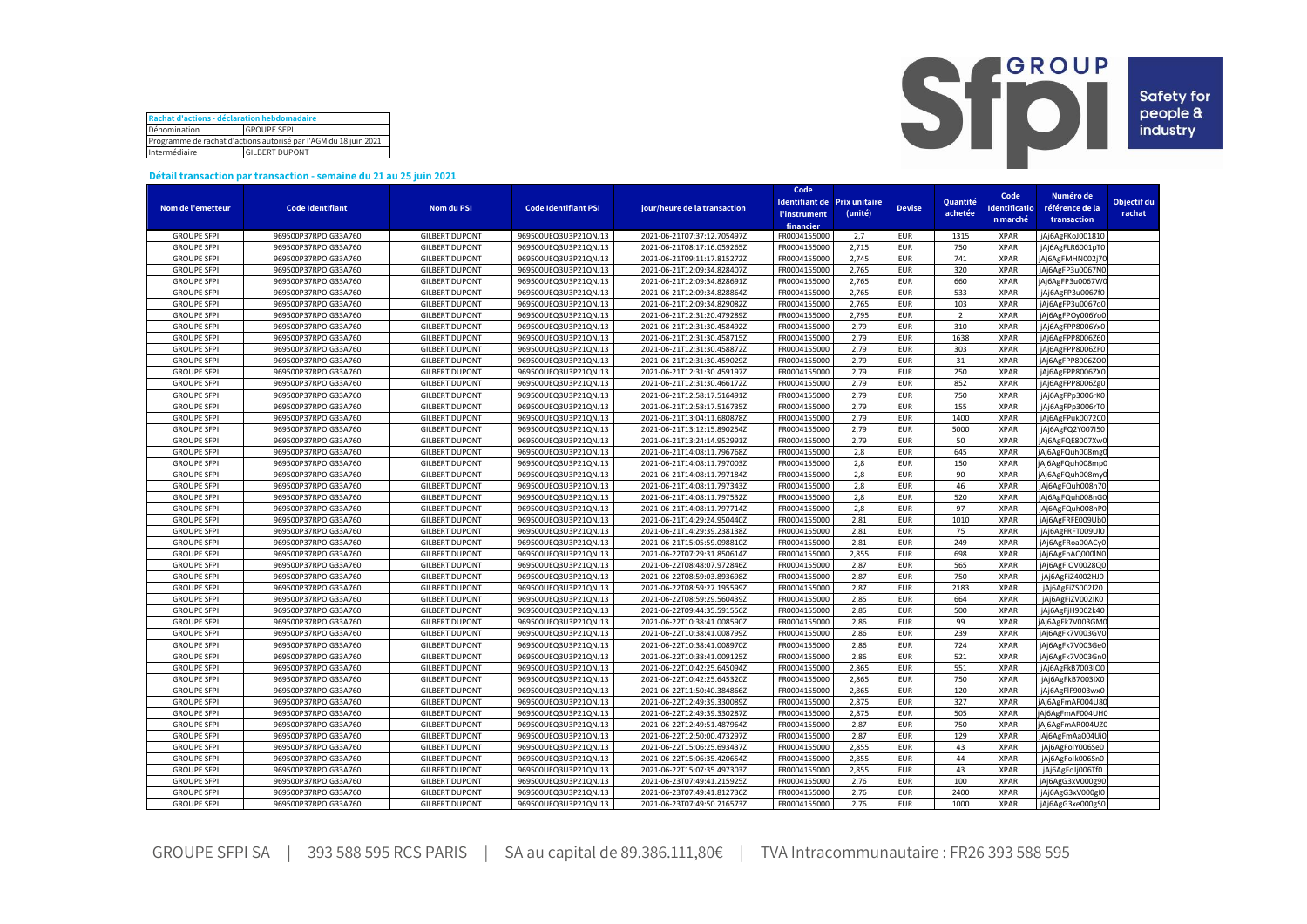| Rachat d'actions - déclaration hebdomadaire                      |  |  |  |  |  |  |  |  |
|------------------------------------------------------------------|--|--|--|--|--|--|--|--|
| Dénomination<br><b>GROUPE SFPI</b>                               |  |  |  |  |  |  |  |  |
| Programme de rachat d'actions autorisé par l'AGM du 18 juin 2021 |  |  |  |  |  |  |  |  |
| Intermédiaire<br><b>GILBERT DUPONT</b>                           |  |  |  |  |  |  |  |  |



## **Détail transaction par transaction - semaine du 21 au 25 juin 2021**

|                    |                         |                       |                             |                              | Code                |                              |               |                |                      |                  |             |
|--------------------|-------------------------|-----------------------|-----------------------------|------------------------------|---------------------|------------------------------|---------------|----------------|----------------------|------------------|-------------|
|                    |                         |                       |                             |                              |                     | Identifiant de Prix unitaire |               | Quantité       | Code                 | Numéro de        | Objectif du |
| Nom de l'emetteur  | <b>Code Identifiant</b> | <b>Nom du PSI</b>     | <b>Code Identifiant PSI</b> | jour/heure de la transaction | <b>l'instrument</b> | (unité)                      | <b>Devise</b> | achetée        | <b>Identificatio</b> | référence de la  | rachat      |
|                    |                         |                       |                             |                              | financier           |                              |               |                | n marché             | transaction      |             |
| <b>GROUPE SFPI</b> | 969500P37RPOIG33A760    | <b>GILBERT DUPONT</b> | 969500UEQ3U3P21QNJ13        | 2021-06-21T07:37:12.705497Z  | FR0004155000        | 2,7                          | <b>EUR</b>    | 1315           | <b>XPAR</b>          | jAj6AgFKoJ001810 |             |
| <b>GROUPE SFPI</b> | 969500P37RPOIG33A760    | <b>GILBERT DUPONT</b> | 969500UEQ3U3P21QNJ13        | 2021-06-21T08:17:16.059265Z  | FR0004155000        | 2,715                        | <b>EUR</b>    | 750            | <b>XPAR</b>          | jAj6AgFLR6001pT0 |             |
| <b>GROUPE SFPI</b> | 969500P37RPOIG33A760    | <b>GILBERT DUPONT</b> | 969500UEQ3U3P21QNJ13        | 2021-06-21T09:11:17.815272Z  | FR0004155000        | 2,745                        | <b>EUR</b>    | 741            | <b>XPAR</b>          | jAj6AgFMHN002j70 |             |
| <b>GROUPE SFPI</b> | 969500P37RPOIG33A760    | <b>GILBERT DUPONT</b> | 969500UEQ3U3P21QNJ13        | 2021-06-21T12:09:34.828407Z  | FR0004155000        | 2,765                        | <b>EUR</b>    | 320            | <b>XPAR</b>          | jAj6AgFP3u0067N0 |             |
| <b>GROUPE SFPI</b> | 969500P37RPOIG33A760    | <b>GILBERT DUPONT</b> | 969500UEQ3U3P21QNJ13        | 2021-06-21T12:09:34.828691Z  | FR0004155000        | 2.765                        | <b>EUR</b>    | 660            | <b>XPAR</b>          | jAj6AgFP3u0067W0 |             |
| <b>GROUPE SFPI</b> | 969500P37RPOIG33A760    | <b>GILBERT DUPONT</b> | 969500UEQ3U3P21QNJ13        | 2021-06-21T12:09:34.828864Z  | FR0004155000        | 2,765                        | <b>EUR</b>    | 533            | <b>XPAR</b>          | jAj6AgFP3u0067f0 |             |
| <b>GROUPE SFPI</b> | 969500P37RPOIG33A760    | <b>GILBERT DUPONT</b> | 969500UEQ3U3P21QNJ13        | 2021-06-21T12:09:34.829082Z  | FR0004155000        | 2,765                        | <b>EUR</b>    | 103            | <b>XPAR</b>          | jAj6AgFP3u0067o0 |             |
| <b>GROUPE SFPI</b> | 969500P37RPOIG33A760    | <b>GILBERT DUPONT</b> | 969500UEQ3U3P21QNJ13        | 2021-06-21T12:31:20.479289Z  | FR0004155000        | 2,795                        | <b>EUR</b>    | $\overline{2}$ | <b>XPAR</b>          | jAj6AgFPOy006Yo0 |             |
| <b>GROUPE SFPI</b> | 969500P37RPOIG33A760    | <b>GILBERT DUPONT</b> | 969500UEQ3U3P21QNJ13        | 2021-06-21T12:31:30.458492Z  | FR0004155000        | 2,79                         | <b>EUR</b>    | 310            | <b>XPAR</b>          | jAj6AgFPP8006Yx0 |             |
| <b>GROUPE SFPI</b> | 969500P37RPOIG33A760    | <b>GILBERT DUPONT</b> | 969500UEQ3U3P21QNJ13        | 2021-06-21T12:31:30.458715Z  | FR0004155000        | 2,79                         | <b>EUR</b>    | 1638           | <b>XPAR</b>          |                  |             |
| <b>GROUPE SFPI</b> | 969500P37RPOIG33A760    | <b>GILBERT DUPONT</b> | 969500UEQ3U3P21QNJ13        |                              | FR0004155000        | 2,79                         | <b>EUR</b>    | 303            | <b>XPAR</b>          | jAj6AgFPP8006Z60 |             |
|                    |                         |                       |                             | 2021-06-21T12:31:30.458872Z  |                     |                              |               |                |                      | jAj6AgFPP8006ZF0 |             |
| <b>GROUPE SFPI</b> | 969500P37RPOIG33A760    | <b>GILBERT DUPONT</b> | 969500UEQ3U3P21QNJ13        | 2021-06-21T12:31:30.459029Z  | FR0004155000        | 2,79                         | <b>EUR</b>    | 31             | <b>XPAR</b>          | jAj6AgFPP8006ZO0 |             |
| <b>GROUPE SFPI</b> | 969500P37RPOIG33A760    | <b>GILBERT DUPONT</b> | 969500UEQ3U3P21QNJ13        | 2021-06-21T12:31:30.459197Z  | FR0004155000        | 2,79                         | <b>EUR</b>    | 250            | <b>XPAR</b>          | jAj6AgFPP8006ZXC |             |
| <b>GROUPE SFPI</b> | 969500P37RPOIG33A760    | <b>GILBERT DUPONT</b> | 969500UEQ3U3P21QNJ13        | 2021-06-21T12:31:30.466172Z  | FR0004155000        | 2,79                         | <b>EUR</b>    | 852            | <b>XPAR</b>          | jAj6AgFPP8006Zg0 |             |
| <b>GROUPE SFPI</b> | 969500P37RPOIG33A760    | <b>GILBERT DUPONT</b> | 969500UEQ3U3P21QNJ13        | 2021-06-21T12:58:17.516491Z  | FR0004155000        | 2,79                         | <b>EUR</b>    | 750            | <b>XPAR</b>          | jAj6AgFPp3006rK0 |             |
| <b>GROUPE SFPI</b> | 969500P37RPOIG33A760    | <b>GILBERT DUPONT</b> | 969500UEQ3U3P21QNJ13        | 2021-06-21T12:58:17.516735Z  | FR0004155000        | 2,79                         | <b>EUR</b>    | 155            | <b>XPAR</b>          | jAj6AgFPp3006rT0 |             |
| <b>GROUPE SFPI</b> | 969500P37RPOIG33A760    | <b>GILBERT DUPONT</b> | 969500UEQ3U3P21QNJ13        | 2021-06-21T13:04:11.680878Z  | FR0004155000        | 2,79                         | <b>EUR</b>    | 1400           | <b>XPAR</b>          | jAj6AgFPuk0072C0 |             |
| <b>GROUPE SFPI</b> | 969500P37RPOIG33A760    | <b>GILBERT DUPONT</b> | 969500UEQ3U3P21QNJ13        | 2021-06-21T13:12:15.890254Z  | FR0004155000        | 2,79                         | <b>EUR</b>    | 5000           | <b>XPAR</b>          | jAj6AgFQ2Y007I50 |             |
| <b>GROUPE SFPI</b> | 969500P37RPOIG33A760    | <b>GILBERT DUPONT</b> | 969500UEQ3U3P21QNJ13        | 2021-06-21T13:24:14.952991Z  | FR0004155000        | 2,79                         | <b>EUR</b>    | 50             | <b>XPAR</b>          | jAj6AgFQE8007XwC |             |
| <b>GROUPE SFPI</b> | 969500P37RPOIG33A760    | <b>GILBERT DUPONT</b> | 969500UEQ3U3P21QNJ13        | 2021-06-21T14:08:11.796768Z  | FR0004155000        | 2,8                          | <b>EUR</b>    | 645            | <b>XPAR</b>          | jAj6AgFQuh008mg( |             |
| <b>GROUPE SFPI</b> | 969500P37RPOIG33A760    | <b>GILBERT DUPONT</b> | 969500UEQ3U3P21QNJ13        | 2021-06-21T14:08:11.797003Z  | FR0004155000        | 2,8                          | <b>EUR</b>    | 150            | <b>XPAR</b>          | jAj6AgFQuh008mp0 |             |
| <b>GROUPE SFPI</b> | 969500P37RPOIG33A760    | <b>GILBERT DUPONT</b> | 969500UEQ3U3P21QNJ13        | 2021-06-21T14:08:11.797184Z  | FR0004155000        | 2,8                          | <b>EUR</b>    | 90             | <b>XPAR</b>          | jAj6AgFQuh008myC |             |
| <b>GROUPE SFPI</b> | 969500P37RPOIG33A760    | <b>GILBERT DUPONT</b> | 969500UEQ3U3P21QNJ13        | 2021-06-21T14:08:11.797343Z  | FR0004155000        | 2,8                          | <b>EUR</b>    | 46             | <b>XPAR</b>          | jAj6AgFQuh008n70 |             |
| <b>GROUPE SFPI</b> | 969500P37RPOIG33A760    | <b>GILBERT DUPONT</b> | 969500UEQ3U3P21QNJ13        | 2021-06-21T14:08:11.797532Z  | FR0004155000        | 2,8                          | <b>EUR</b>    | 520            | <b>XPAR</b>          | jAj6AgFQuh008nGC |             |
| <b>GROUPE SFPI</b> | 969500P37RPOIG33A760    | <b>GILBERT DUPONT</b> | 969500UEQ3U3P21QNJ13        | 2021-06-21T14:08:11.797714Z  | FR0004155000        | 2,8                          | <b>EUR</b>    | 97             | <b>XPAR</b>          | jAj6AgFQuh008nP0 |             |
| <b>GROUPE SFPI</b> | 969500P37RPOIG33A760    | <b>GILBERT DUPONT</b> | 969500UEQ3U3P21QNJ13        | 2021-06-21T14:29:24.950440Z  | FR0004155000        | 2,81                         | <b>EUR</b>    | 1010           | <b>XPAR</b>          | jAj6AgFRFE009Ub0 |             |
| <b>GROUPE SFPI</b> | 969500P37RPOIG33A760    | <b>GILBERT DUPONT</b> | 969500UEQ3U3P21QNJ13        | 2021-06-21T14:29:39.238138Z  | FR0004155000        | 2,81                         | <b>EUR</b>    | 75             | <b>XPAR</b>          | jAj6AgFRFT009Ul0 |             |
| <b>GROUPE SFPI</b> | 969500P37RPOIG33A760    | <b>GILBERT DUPONT</b> | 969500UEQ3U3P21QNJ13        | 2021-06-21T15:05:59.098810Z  | FR0004155000        | 2,81                         | <b>EUR</b>    | 249            | <b>XPAR</b>          | jAj6AgFRoa00ACy0 |             |
| <b>GROUPE SFPI</b> | 969500P37RPOIG33A760    | <b>GILBERT DUPONT</b> | 969500UEQ3U3P21QNJ13        | 2021-06-22T07:29:31.850614Z  | FR0004155000        | 2,855                        | <b>EUR</b>    | 698            | <b>XPAR</b>          | jAj6AgFhAQ000IN0 |             |
| <b>GROUPE SFPI</b> | 969500P37RPOIG33A760    | <b>GILBERT DUPONT</b> | 969500UEQ3U3P21QNJ13        | 2021-06-22T08:48:07.972846Z  | FR0004155000        | 2,87                         | <b>EUR</b>    | 565            | <b>XPAR</b>          | jAj6AgFiOV0028Q0 |             |
| <b>GROUPE SFPI</b> | 969500P37RPOIG33A760    | <b>GILBERT DUPONT</b> | 969500UEQ3U3P21QNJ13        | 2021-06-22T08:59:03.893698Z  | FR0004155000        | 2,87                         | <b>EUR</b>    | 750            | <b>XPAR</b>          | jAj6AgFiZ4002HJ0 |             |
| <b>GROUPE SFPI</b> | 969500P37RPOIG33A760    | <b>GILBERT DUPONT</b> | 969500UEQ3U3P21QNJ13        | 2021-06-22T08:59:27.195599Z  | FR0004155000        | 2,87                         | <b>EUR</b>    | 2183           | <b>XPAR</b>          | jAj6AgFiZS002I20 |             |
| <b>GROUPE SFPI</b> | 969500P37RPOIG33A760    | <b>GILBERT DUPONT</b> | 969500UEQ3U3P21QNJ13        | 2021-06-22T08:59:29.560439Z  | FR0004155000        | 2,85                         | <b>EUR</b>    | 664            | <b>XPAR</b>          | jAj6AgFiZV002IK0 |             |
| <b>GROUPE SFPI</b> | 969500P37RPOIG33A760    | <b>GILBERT DUPONT</b> | 969500UEQ3U3P21QNJ13        | 2021-06-22T09:44:35.591556Z  | FR0004155000        | 2,85                         | <b>EUR</b>    | 500            | <b>XPAR</b>          | jAj6AgFjH9002k40 |             |
| <b>GROUPE SFPI</b> | 969500P37RPOIG33A760    | <b>GILBERT DUPONT</b> | 969500UEQ3U3P21QNJ13        | 2021-06-22T10:38:41.008590Z  | FR0004155000        | 2,86                         | <b>EUR</b>    | 99             | <b>XPAR</b>          | jAj6AgFk7V003GM0 |             |
| <b>GROUPE SFPI</b> | 969500P37RPOIG33A760    | <b>GILBERT DUPONT</b> | 969500UEQ3U3P21QNJ13        | 2021-06-22T10:38:41.008799Z  | FR0004155000        | 2,86                         | <b>EUR</b>    | 239            | <b>XPAR</b>          | jAj6AgFk7V003GV0 |             |
| <b>GROUPE SFPI</b> | 969500P37RPOIG33A760    | <b>GILBERT DUPONT</b> | 969500UEQ3U3P21QNJ13        | 2021-06-22T10:38:41.008970Z  | FR0004155000        | 2,86                         | <b>EUR</b>    | 724            | <b>XPAR</b>          | jAj6AgFk7V003Ge0 |             |
| <b>GROUPE SFPI</b> | 969500P37RPOIG33A760    | <b>GILBERT DUPONT</b> | 969500UEQ3U3P21QNJ13        | 2021-06-22T10:38:41.009125Z  | FR0004155000        | 2.86                         | <b>EUR</b>    | 521            | <b>XPAR</b>          | jAj6AgFk7V003Gn0 |             |
| <b>GROUPE SFPI</b> | 969500P37RPOIG33A760    | <b>GILBERT DUPONT</b> | 969500UEQ3U3P21QNJ13        | 2021-06-22T10:42:25.645094Z  | FR0004155000        | 2,865                        | <b>EUR</b>    | 551            | <b>XPAR</b>          |                  |             |
|                    |                         |                       |                             |                              |                     |                              |               | 750            |                      | jAj6AgFkB7003IO0 |             |
| <b>GROUPE SFPI</b> | 969500P37RPOIG33A760    | <b>GILBERT DUPONT</b> | 969500UEQ3U3P21QNJ13        | 2021-06-22T10:42:25.645320Z  | FR0004155000        | 2,865                        | <b>EUR</b>    |                | <b>XPAR</b>          | jAj6AgFkB7003IX0 |             |
| <b>GROUPE SFPI</b> | 969500P37RPOIG33A760    | <b>GILBERT DUPONT</b> | 969500UEQ3U3P21QNJ13        | 2021-06-22T11:50:40.384866Z  | FR0004155000        | 2,865                        | <b>EUR</b>    | 120            | <b>XPAR</b>          | jAj6AgFlF9003wx0 |             |
| <b>GROUPE SFPI</b> | 969500P37RPOIG33A760    | <b>GILBERT DUPONT</b> | 969500UEQ3U3P21QNJ13        | 2021-06-22T12:49:39.330089Z  | FR0004155000        | 2,875                        | <b>EUR</b>    | 327            | <b>XPAR</b>          | jAj6AgFmAF004U80 |             |
| <b>GROUPE SFPI</b> | 969500P37RPOIG33A760    | <b>GILBERT DUPONT</b> | 969500UEQ3U3P21QNJ13        | 2021-06-22T12:49:39.330287Z  | FR0004155000        | 2,875                        | <b>EUR</b>    | 505            | <b>XPAR</b>          | jAj6AgFmAF004UH0 |             |
| <b>GROUPE SFPI</b> | 969500P37RPOIG33A760    | <b>GILBERT DUPONT</b> | 969500UEQ3U3P21QNJ13        | 2021-06-22T12:49:51.487964Z  | FR0004155000        | 2,87                         | <b>EUR</b>    | 750            | <b>XPAR</b>          | jAj6AgFmAR004UZ0 |             |
| <b>GROUPE SFPI</b> | 969500P37RPOIG33A760    | <b>GILBERT DUPONT</b> | 969500UEQ3U3P21QNJ13        | 2021-06-22T12:50:00.473297Z  | FR0004155000        | 2,87                         | <b>EUR</b>    | 129            | <b>XPAR</b>          | jAj6AgFmAa004Ui0 |             |
| <b>GROUPE SFPI</b> | 969500P37RPOIG33A760    | <b>GILBERT DUPONT</b> | 969500UEQ3U3P21QNJ13        | 2021-06-22T15:06:25.693437Z  | FR0004155000        | 2,855                        | <b>EUR</b>    | 43             | <b>XPAR</b>          | jAj6AgFolY006Se0 |             |
| <b>GROUPE SFPI</b> | 969500P37RPOIG33A760    | <b>GILBERT DUPONT</b> | 969500UEQ3U3P21QNJ13        | 2021-06-22T15:06:35.420654Z  | FR0004155000        | 2,855                        | <b>EUR</b>    | 44             | <b>XPAR</b>          | jAj6AgFolk006Sn0 |             |
| <b>GROUPE SFPI</b> | 969500P37RPOIG33A760    | <b>GILBERT DUPONT</b> | 969500UEQ3U3P21QNJ13        | 2021-06-22T15:07:35.497303Z  | FR0004155000        | 2,855                        | <b>EUR</b>    | 43             | <b>XPAR</b>          | jAj6AgFoJj006Tf0 |             |
| <b>GROUPE SFPI</b> | 969500P37RPOIG33A760    | <b>GILBERT DUPONT</b> | 969500UEQ3U3P21QNJ13        | 2021-06-23T07:49:41.215925Z  | FR0004155000        | 2,76                         | <b>EUR</b>    | 100            | <b>XPAR</b>          | jAj6AgG3xV000g90 |             |
| <b>GROUPE SFPI</b> | 969500P37RPOIG33A760    | <b>GILBERT DUPONT</b> | 969500UEQ3U3P21QNJ13        | 2021-06-23T07:49:41.812736Z  | FR0004155000        | 2,76                         | <b>EUR</b>    | 2400           | <b>XPAR</b>          | jAj6AgG3xV000gI0 |             |
| <b>GROUPE SFPI</b> | 969500P37RPOIG33A760    | <b>GILBERT DUPONT</b> | 969500UEQ3U3P21QNJ13        | 2021-06-23T07:49:50.216573Z  | FR0004155000        | 2,76                         | <b>EUR</b>    | 1000           | <b>XPAR</b>          | jAj6AgG3xe000gS0 |             |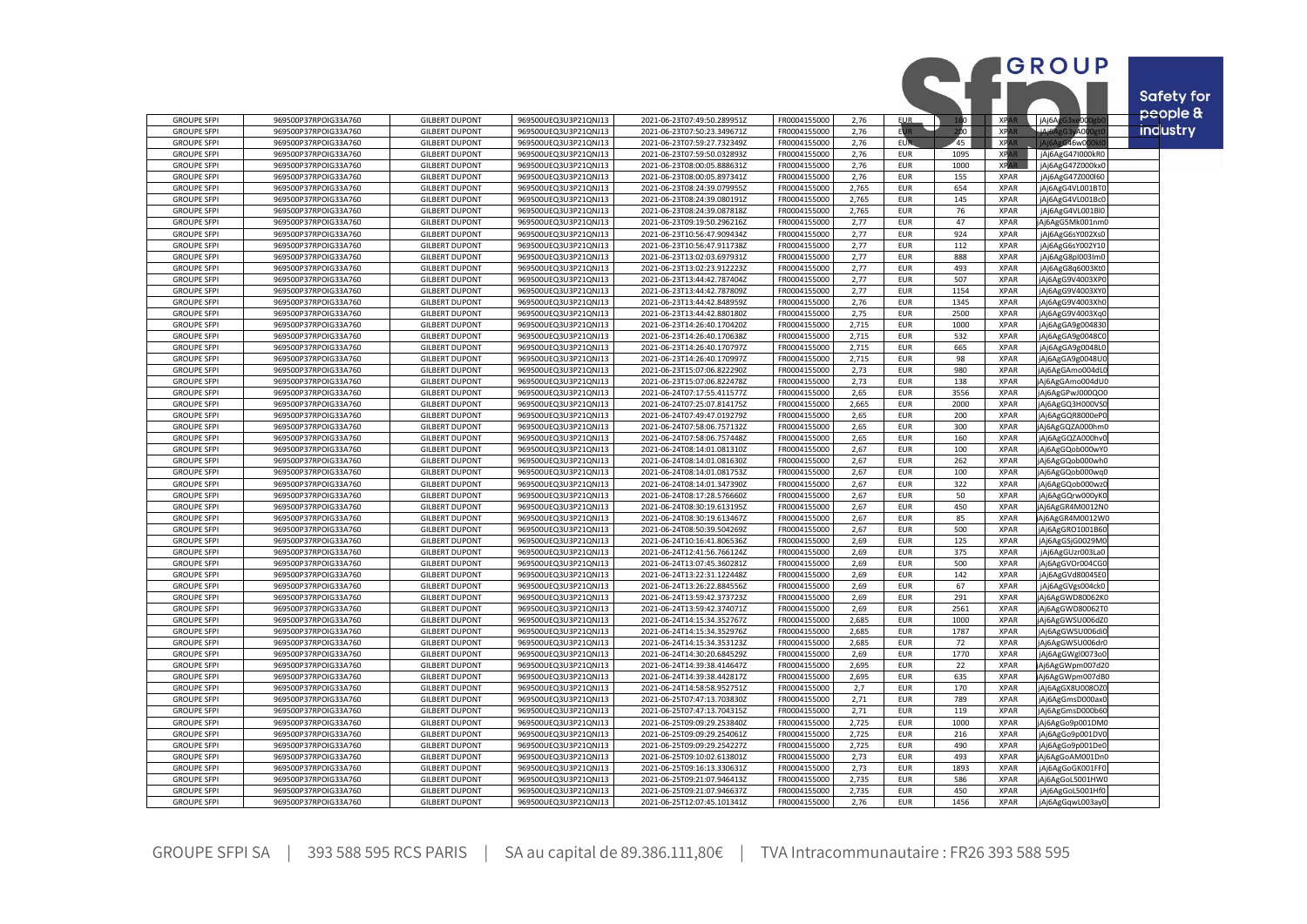|                                          |                                              |                                                |                                              |                                                            |                              |                |                          |                 |                            | GROUP                                | <b>Safety for</b> |
|------------------------------------------|----------------------------------------------|------------------------------------------------|----------------------------------------------|------------------------------------------------------------|------------------------------|----------------|--------------------------|-----------------|----------------------------|--------------------------------------|-------------------|
|                                          |                                              |                                                |                                              |                                                            |                              |                |                          |                 |                            |                                      | people &          |
| <b>GROUPE SFPI</b>                       | 969500P37RPOIG33A760                         | <b>GILBERT DUPONT</b>                          | 969500UEQ3U3P21QNJ13                         | 2021-06-23T07:49:50.289951Z                                | FR0004155000                 | 2,76           | <b>EUR</b>               | 160             | <b>XPAR</b>                | jAj6AgG3:<br>e000e                   |                   |
| <b>GROUPE SFPI</b>                       | 969500P37RPOIG33A760                         | <b>GILBERT DUPONT</b>                          | 969500UEQ3U3P21QNJ13                         | 2021-06-23T07:50:23.349671Z                                | FR0004155000                 | 2,76           | <b>EUR</b>               | 200             | <b>XPAR</b>                | الهنمن<br><b>A000</b>                | <b>industry</b>   |
| <b>GROUPE SFPI</b><br><b>GROUPE SFPI</b> | 969500P37RPOIG33A760<br>969500P37RPOIG33A760 | <b>GILBERT DUPONT</b><br><b>GILBERT DUPONT</b> | 969500UEQ3U3P21QNJ13<br>969500UEQ3U3P21QNJ13 | 2021-06-23T07:59:27.732349Z<br>2021-06-23T07:59:50.032893Z | FR0004155000<br>FR0004155000 | 2,76<br>2,76   | <b>EUR</b><br><b>EUR</b> | 45<br>1095      | <b>XPA</b><br><b>XPAR</b>  | G46w00<br>jAj6AgG47I000kR0           |                   |
| <b>GROUPE SFPI</b>                       | 969500P37RPOIG33A760                         | <b>GILBERT DUPONT</b>                          | 969500UEQ3U3P21QNJ13                         | 2021-06-23T08:00:05.888631Z                                | FR0004155000                 | 2,76           | <b>EUR</b>               | 1000            | <b>XPAR</b>                | jAj6AgG47Z000kx0                     |                   |
| <b>GROUPE SFPI</b>                       | 969500P37RPOIG33A760                         | <b>GILBERT DUPONT</b>                          | 969500UEQ3U3P21QNJ13                         | 2021-06-23T08:00:05.897341Z                                | FR0004155000                 | 2,76           | EUR                      | 155             | <b>XPAR</b>                | jAj6AgG47Z000l60                     |                   |
| <b>GROUPE SFPI</b>                       | 969500P37RPOIG33A760                         | <b>GILBERT DUPONT</b>                          | 969500UEQ3U3P21QNJ13                         | 2021-06-23T08:24:39.079955Z                                | FR0004155000                 | 2,765          | <b>EUR</b>               | 654             | <b>XPAR</b>                | jAj6AgG4VL001BT(                     |                   |
| <b>GROUPE SFPI</b>                       | 969500P37RPOIG33A760                         | <b>GILBERT DUPONT</b>                          | 969500UEQ3U3P21QNJ13                         | 2021-06-23T08:24:39.080191Z                                | FR0004155000                 | 2,765          | <b>EUR</b>               | 145             | <b>XPAR</b>                | jAj6AgG4VL001Bc0                     |                   |
| <b>GROUPE SFPI</b>                       | 969500P37RPOIG33A760                         | <b>GILBERT DUPONT</b>                          | 969500UEQ3U3P21QNJ13                         | 2021-06-23T08:24:39.087818Z                                | FR0004155000                 | 2,765          | <b>EUR</b>               | 76              | <b>XPAR</b>                | jAj6AgG4VL001Bl0                     |                   |
| <b>GROUPE SFPI</b>                       | 969500P37RPOIG33A760                         | <b>GILBERT DUPONT</b>                          | 969500UEQ3U3P21QNJ13                         | 2021-06-23T09:19:50.296216Z                                | FR0004155000                 | 2,77           | <b>EUR</b>               | 47              | <b>XPAR</b>                | Aj6AgG5Mk001nm0                      |                   |
| <b>GROUPE SFPI</b><br><b>GROUPE SFPI</b> | 969500P37RPOIG33A760<br>969500P37RPOIG33A760 | <b>GILBERT DUPONT</b><br><b>GILBERT DUPONT</b> | 969500UEQ3U3P21QNJ13<br>969500UEQ3U3P21QNJ13 | 2021-06-23T10:56:47.909434Z<br>2021-06-23T10:56:47.911738Z | FR0004155000<br>FR0004155000 | 2,77<br>2,77   | EUR<br><b>EUR</b>        | 924<br>112      | <b>XPAR</b><br><b>XPAR</b> | jAj6AgG6sY002Xs0<br>jAj6AgG6sY002Y10 |                   |
| <b>GROUPE SFPI</b>                       | 969500P37RPOIG33A760                         | <b>GILBERT DUPONT</b>                          | 969500UEQ3U3P21QNJ13                         | 2021-06-23T13:02:03.697931Z                                | FR0004155000                 | 2,77           | <b>EUR</b>               | 888             | <b>XPAR</b>                | jAj6AgG8pl003Im0                     |                   |
| <b>GROUPE SFPI</b>                       | 969500P37RPOIG33A760                         | <b>GILBERT DUPONT</b>                          | 969500UEQ3U3P21QNJ13                         | 2021-06-23T13:02:23.912223Z                                | FR0004155000                 | 2,77           | <b>EUR</b>               | 493             | <b>XPAR</b>                | jAj6AgG8q6003KtC                     |                   |
| <b>GROUPE SFPI</b>                       | 969500P37RPOIG33A760                         | <b>GILBERT DUPONT</b>                          | 969500UEQ3U3P21QNJ13                         | 2021-06-23T13:44:42.787404Z                                | FR0004155000                 | 2,77           | <b>EUR</b>               | 507             | <b>XPAR</b>                | jAj6AgG9V4003XPC                     |                   |
| <b>GROUPE SFPI</b>                       | 969500P37RPOIG33A760                         | <b>GILBERT DUPONT</b>                          | 969500UEQ3U3P21QNJ13                         | 2021-06-23T13:44:42.787809Z                                | FR0004155000                 | 2,77           | <b>EUR</b>               | 1154            | <b>XPAR</b>                | jAj6AgG9V4003XY0                     |                   |
| <b>GROUPE SFPI</b>                       | 969500P37RPOIG33A760                         | <b>GILBERT DUPONT</b>                          | 969500UEQ3U3P21QNJ13                         | 2021-06-23T13:44:42.848959Z                                | FR0004155000                 | 2.76           | <b>EUR</b>               | 1345            | <b>XPAR</b>                | jAj6AgG9V4003Xh0                     |                   |
| <b>GROUPE SFPI</b>                       | 969500P37RPOIG33A760                         | <b>GILBERT DUPONT</b>                          | 969500UEQ3U3P21QNJ13                         | 2021-06-23T13:44:42.880180Z                                | FR0004155000                 | 2,75           | <b>EUR</b>               | 2500            | <b>XPAR</b>                | jAj6AgG9V4003Xq0                     |                   |
| <b>GROUPE SFPI</b><br><b>GROUPE SFPI</b> | 969500P37RPOIG33A760<br>969500P37RPOIG33A760 | <b>GILBERT DUPONT</b><br><b>GILBERT DUPONT</b> | 969500UEQ3U3P21QNJ13<br>969500UEQ3U3P21QNJ13 | 2021-06-23T14:26:40.170420Z<br>2021-06-23T14:26:40.170638Z | FR0004155000<br>FR0004155000 | 2,715<br>2,715 | <b>EUR</b><br>EUR        | 1000<br>532     | <b>XPAR</b><br><b>XPAR</b> | jAj6AgGA9g00483<br>jAj6AgGA9g0048CC  |                   |
| <b>GROUPE SFPI</b>                       | 969500P37RPOIG33A760                         | <b>GILBERT DUPONT</b>                          | 969500UEQ3U3P21QNJ13                         | 2021-06-23T14:26:40.170797Z                                | FR0004155000                 | 2,715          | <b>EUR</b>               | 665             | <b>XPAR</b>                | jAj6AgGA9g0048L0                     |                   |
| <b>GROUPE SFPI</b>                       | 969500P37RPOIG33A760                         | <b>GILBERT DUPONT</b>                          | 969500UEQ3U3P21QNJ13                         | 2021-06-23T14:26:40.170997Z                                | FR0004155000                 | 2,715          | EUR                      | 98              | <b>XPAR</b>                | jAj6AgGA9g0048UC                     |                   |
| <b>GROUPE SFPI</b>                       | 969500P37RPOIG33A760                         | <b>GILBERT DUPONT</b>                          | 969500UEQ3U3P21QNJ13                         | 2021-06-23T15:07:06.822290Z                                | FR0004155000                 | 2,73           | <b>EUR</b>               | 980             | <b>XPAR</b>                | Aj6AgGAmo004dL0                      |                   |
| <b>GROUPE SFPI</b>                       | 969500P37RPOIG33A760                         | <b>GILBERT DUPONT</b>                          | 969500UEQ3U3P21QNJ13                         | 2021-06-23T15:07:06.822478Z                                | FR0004155000                 | 2,73           | <b>EUR</b>               | 138             | <b>XPAR</b>                | Aj6AgGAmo004dU0                      |                   |
| <b>GROUPE SFPI</b>                       | 969500P37RPOIG33A760                         | <b>GILBERT DUPONT</b>                          | 969500UEQ3U3P21QNJ13                         | 2021-06-24T07:17:55.411577Z                                | FR0004155000                 | 2.65           | <b>EUR</b>               | 3556            | <b>XPAR</b>                | Aj6AgGPwJ000QO0                      |                   |
| <b>GROUPE SFPI</b>                       | 969500P37RPOIG33A760                         | <b>GILBERT DUPONT</b>                          | 969500UEQ3U3P21QNJ13                         | 2021-06-24T07:25:07.814175Z                                | FR0004155000                 | 2,665          | <b>EUR</b>               | 2000            | <b>XPAR</b>                | jAj6AgGQ3H000VS0                     |                   |
| <b>GROUPE SFPI</b><br><b>GROUPE SFPI</b> | 969500P37RPOIG33A760<br>969500P37RPOIG33A760 | <b>GILBERT DUPONT</b><br><b>GILBERT DUPONT</b> | 969500UEQ3U3P21QNJ13<br>969500UEQ3U3P21QNJ13 | 2021-06-24T07:49:47.019279Z<br>2021-06-24T07:58:06.757132Z | FR0004155000<br>FR0004155000 | 2,65<br>2,65   | <b>EUR</b><br><b>EUR</b> | 200<br>300      | <b>XPAR</b><br><b>XPAR</b> | jAj6AgGQR8000eP0<br>Aj6AgGQZA000hm0  |                   |
| <b>GROUPE SFPI</b>                       | 969500P37RPOIG33A760                         | <b>GILBERT DUPONT</b>                          | 969500UEQ3U3P21QNJ13                         | 2021-06-24T07:58:06.757448Z                                | FR0004155000                 | 2,65           | <b>EUR</b>               | 160             | <b>XPAR</b>                | jAj6AgGQZA000hv0                     |                   |
| <b>GROUPE SFPI</b>                       | 969500P37RPOIG33A760                         | <b>GILBERT DUPONT</b>                          | 969500UEQ3U3P21QNJ13                         | 2021-06-24T08:14:01.081310Z                                | FR0004155000                 | 2,67           | <b>EUR</b>               | 100             | <b>XPAR</b>                | Aj6AgGQob000wY0                      |                   |
| <b>GROUPE SFPI</b>                       | 969500P37RPOIG33A760                         | <b>GILBERT DUPONT</b>                          | 969500UEQ3U3P21QNJ13                         | 2021-06-24T08:14:01.081630Z                                | FR0004155000                 | 2,67           | <b>EUR</b>               | 262             | <b>XPAR</b>                | Aj6AgGQob000wh0                      |                   |
| <b>GROUPE SFPI</b>                       | 969500P37RPOIG33A760                         | <b>GILBERT DUPONT</b>                          | 969500UEQ3U3P21QNJ13                         | 2021-06-24T08:14:01.081753Z                                | FR0004155000                 | 2,67           | <b>EUR</b>               | 100             | <b>XPAR</b>                | Aj6AgGQob000wq0                      |                   |
| <b>GROUPE SFPI</b>                       | 969500P37RPOIG33A760                         | <b>GILBERT DUPONT</b>                          | 969500UEQ3U3P21QNJ13                         | 2021-06-24T08:14:01.347390Z                                | FR0004155000                 | 2,67           | <b>EUR</b>               | 322             | <b>XPAR</b>                | Aj6AgGQob000wz0                      |                   |
| <b>GROUPE SFPI</b>                       | 969500P37RPOIG33A760                         | <b>GILBERT DUPONT</b>                          | 969500UEQ3U3P21QNJ13                         | 2021-06-24T08:17:28.576660Z                                | FR0004155000                 | 2,67           | EUR                      | 50              | <b>XPAR</b>                | jAj6AgGQrw000yK0                     |                   |
| <b>GROUPE SFPI</b><br><b>GROUPE SFPI</b> | 969500P37RPOIG33A760<br>969500P37RPOIG33A760 | <b>GILBERT DUPONT</b><br><b>GILBERT DUPONT</b> | 969500UEQ3U3P21QNJ13<br>969500UEQ3U3P21QNJ13 | 2021-06-24T08:30:19.613195Z<br>2021-06-24T08:30:19.613467Z | FR0004155000<br>FR0004155000 | 2,67<br>2,67   | <b>EUR</b><br><b>EUR</b> | 450<br>85       | <b>XPAR</b><br><b>XPAR</b> | jAj6AgGR4M0012N0<br>Aj6AgGR4M0012W0  |                   |
| <b>GROUPE SFPI</b>                       | 969500P37RPOIG33A760                         | <b>GILBERT DUPONT</b>                          | 969500UEQ3U3P21QNJ13                         | 2021-06-24T08:50:39.504269Z                                | FR0004155000                 | 2,67           | <b>EUR</b>               | 500             | <b>XPAR</b>                | jAj6AgGRO1001B60                     |                   |
| <b>GROUPE SFPI</b>                       | 969500P37RPOIG33A760                         | <b>GILBERT DUPONT</b>                          | 969500UEQ3U3P21QNJ13                         | 2021-06-24T10:16:41.806536Z                                | FR0004155000                 | 2,69           | <b>EUR</b>               | 125             | <b>XPAR</b>                | jAj6AgGSjG0029M0                     |                   |
| <b>GROUPE SFPI</b>                       | 969500P37RPOIG33A760                         | <b>GILBERT DUPONT</b>                          | 969500UEQ3U3P21QNJ13                         | 2021-06-24T12:41:56.766124Z                                | FR0004155000                 | 2,69           | EUR                      | 375             | <b>XPAR</b>                | jAj6AgGUzr003LaC                     |                   |
| <b>GROUPE SFPI</b>                       | 969500P37RPOIG33A760                         | <b>GILBERT DUPONT</b>                          | 969500UEQ3U3P21QNJ1                          | 2021-06-24T13:07:45.360281Z                                | FR0004155000                 | 2,69           | <b>EUR</b>               | 500             | <b>XPAR</b>                | jAj6AgGVOr004CG                      |                   |
| <b>GROUPE SFPI</b>                       | 969500P37RPOIG33A760                         | <b>GILBERT DUPONT</b>                          | 969500UEQ3U3P21QNJ13                         | 2021-06-24T13:22:31.122448Z                                | FR0004155000                 | 2,69           | EUR                      | 142             | <b>XPAR</b>                | jAj6AgGVd8004SE0                     |                   |
| <b>GROUPE SFPI</b>                       | 969500P37RPOIG33A760                         | <b>GILBERT DUPONT</b><br><b>GILBERT DUPONT</b> | 969500UEQ3U3P21QNJ13                         | 2021-06-24T13:26:22.884556Z                                | FR0004155000                 | 2.69           | <b>EUR</b><br><b>EUR</b> | 67              | <b>XPAR</b><br><b>XPAR</b> | jAj6AgGVgs004ck0                     |                   |
| <b>GROUPE SFPI</b><br><b>GROUPE SFPI</b> | 969500P37RPOIG33A760<br>969500P37RPOIG33A760 | <b>GILBERT DUPONT</b>                          | 969500UEQ3U3P21QNJ13<br>969500UEQ3U3P21QNJ13 | 2021-06-24T13:59:42.373723Z<br>2021-06-24T13:59:42.374071Z | FR0004155000<br>FR0004155000 | 2,69<br>2,69   | <b>EUR</b>               | 291<br>2561     | <b>XPAR</b>                | Aj6AgGWD80062K0<br>Aj6AgGWD80062T0   |                   |
| <b>GROUPE SFPI</b>                       | 969500P37RPOIG33A760                         | <b>GILBERT DUPONT</b>                          | 969500UEQ3U3P21QNJ13                         | 2021-06-24T14:15:34.352767Z                                | FR0004155000                 | 2,685          | <b>EUR</b>               | 1000            | <b>XPAR</b>                | Aj6AgGWSU006dZ0                      |                   |
| <b>GROUPE SFPI</b>                       | 969500P37RPOIG33A760                         | <b>GILBERT DUPONT</b>                          | 969500UEQ3U3P21QNJ13                         | 2021-06-24T14:15:34.352976Z                                | FR0004155000                 | 2,685          | <b>EUR</b>               | 1787            | <b>XPAR</b>                | jAj6AgGWSU006di0                     |                   |
| <b>GROUPE SFPI</b>                       | 969500P37RPOIG33A760                         | <b>GILBERT DUPONT</b>                          | 969500UEQ3U3P21QNJ13                         | 2021-06-24T14:15:34.353123Z                                | FR0004155000                 | 2,685          | EUR                      | 72              | <b>XPAR</b>                | jAj6AgGWSU006dr0                     |                   |
| <b>GROUPE SFPI</b>                       | 969500P37RPOIG33A760                         | <b>GILBERT DUPONT</b>                          | 969500UEQ3U3P21QNJ13                         | 2021-06-24T14:30:20.684529Z                                | FR0004155000                 | 2,69           | <b>EUR</b>               | 1770            | <b>XPAR</b>                | jAj6AgGWgl0073o0                     |                   |
| <b>GROUPE SFPI</b>                       | 969500P37RPOIG33A760                         | <b>GILBERT DUPONT</b>                          | 969500UEQ3U3P21QNJ13                         | 2021-06-24T14:39:38.414647Z                                | FR0004155000                 | 2,695          | <b>EUR</b>               | $\overline{22}$ | <b>XPAR</b>                | Aj6AgGWpm007d20                      |                   |
| <b>GROUPE SFPI</b><br><b>GROUPE SFPI</b> | 969500P37RPOIG33A760<br>969500P37RPOIG33A760 | <b>GILBERT DUPONT</b><br><b>GILBERT DUPONT</b> | 969500UEQ3U3P21QNJ13<br>969500UEQ3U3P21QNJ13 | 2021-06-24T14:39:38.442817Z<br>2021-06-24T14:58:58.952751Z | FR0004155000<br>FR0004155000 | 2,695<br>2,7   | <b>EUR</b><br><b>EUR</b> | 635<br>170      | <b>XPAR</b><br><b>XPAR</b> | Aj6AgGWpm007dB0<br>jAj6AgGX8U008OZ0  |                   |
| <b>GROUPE SFPI</b>                       | 969500P37RPOIG33A760                         | <b>GILBERT DUPONT</b>                          | 969500UEQ3U3P21QNJ13                         | 2021-06-25T07:47:13.703830Z                                | FR0004155000                 | 2,71           | <b>EUR</b>               | 789             | <b>XPAR</b>                | jAj6AgGmsD000ax                      |                   |
| <b>GROUPE SFPI</b>                       | 969500P37RPOIG33A760                         | <b>GILBERT DUPONT</b>                          | 969500UEQ3U3P21QNJ13                         | 2021-06-25T07:47:13.704315Z                                | FR0004155000                 | 2,71           | <b>EUR</b>               | 119             | <b>XPAR</b>                | Aj6AgGmsD000b60                      |                   |
| <b>GROUPE SFPI</b>                       | 969500P37RPOIG33A760                         | <b>GILBERT DUPONT</b>                          | 969500UEQ3U3P21QNJ13                         | 2021-06-25T09:09:29.253840Z                                | FR0004155000                 | 2,725          | <b>EUR</b>               | 1000            | <b>XPAR</b>                | Aj6AgGo9p001DM0                      |                   |
| <b>GROUPE SFPI</b>                       | 969500P37RPOIG33A760                         | <b>GILBERT DUPONT</b>                          | 969500UEQ3U3P21QNJ13                         | 2021-06-25T09:09:29.254061Z                                | FR0004155000                 | 2,725          | EUR                      | 216             | <b>XPAR</b>                | jAj6AgGo9p001DV0                     |                   |
| <b>GROUPE SFPI</b>                       | 969500P37RPOIG33A760                         | <b>GILBERT DUPONT</b>                          | 969500UEQ3U3P21QNJ13                         | 2021-06-25T09:09:29.254227Z                                | FR0004155000                 | 2,725          | <b>EUR</b>               | 490             | <b>XPAR</b>                | jAj6AgGo9p001De0                     |                   |
| <b>GROUPE SFPI</b><br><b>GROUPE SFPI</b> | 969500P37RPOIG33A760<br>969500P37RPOIG33A760 | <b>GILBERT DUPONT</b><br><b>GILBERT DUPONT</b> | 969500UEQ3U3P21QNJ13<br>969500UEQ3U3P21QNJ13 | 2021-06-25T09:10:02.613801Z                                | FR0004155000<br>FR0004155000 | 2,73<br>2,73   | <b>EUR</b><br><b>EUR</b> | 493<br>1893     | <b>XPAR</b><br><b>XPAR</b> | Aj6AgGoAM001Dn0                      |                   |
| <b>GROUPE SFPI</b>                       | 969500P37RPOIG33A760                         | <b>GILBERT DUPONT</b>                          | 969500UEQ3U3P21QNJ13                         | 2021-06-25T09:16:13.330631Z<br>2021-06-25T09:21:07.946413Z | FR0004155000                 | 2,735          | <b>EUR</b>               | 586             | <b>XPAR</b>                | jAj6AgGoGK001FF0<br>Aj6AgGoL5001HW0  |                   |
| <b>GROUPE SFPI</b>                       | 969500P37RPOIG33A760                         | <b>GILBERT DUPONT</b>                          | 969500UEQ3U3P21QNJ13                         | 2021-06-25T09:21:07.946637Z                                | FR0004155000                 | 2,735          | <b>EUR</b>               | 450             | <b>XPAR</b>                | jAj6AgGoL5001Hf0                     |                   |
| <b>GROUPE SFPI</b>                       | 969500P37RPOIG33A760                         | <b>GILBERT DUPONT</b>                          | 969500UEQ3U3P21QNJ13                         | 2021-06-25T12:07:45.101341Z                                | FR0004155000                 | 2,76           | <b>EUR</b>               | 1456            | <b>XPAR</b>                | jAj6AgGqwL003ay0                     |                   |